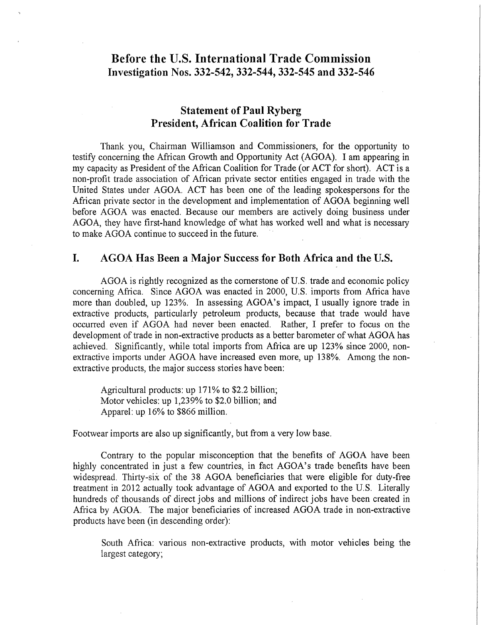# **Before the U.S. International Trade Commission Investigation Nos. 332-542, 332-544, 332-545 and 332-546**

## **Statement of Paul Ryberg President, African Coalition for Trade**

Thank you, Chairman Williamson and Commissioners, for the opportunity to testify concerning the African Growth and Opportunity Act (AGOA). I am appearing in my capacity as President of the African Coalition for Trade (or ACT for short). ACT is a non-profit trade association of African private sector entities engaged in trade with the United States under AGOA. ACT has been one of the leading spokespersons for the African private sector in the development and implementation of AGOA beginning well before AGOA was enacted. Because our members are actively doing business under AGOA, they have first-hand knowledge of what has worked well and what is necessary to make AGOA continue to succeed in the future.

## **I. AGOA Has Been a Major Success for Both Africa and the U.S.**

AGOA is rightly recognized as the cornerstone of U.S. trade and economic policy concerning Africa. Since AGOA was enacted in 2000, U.S. imports from Africa have more than doubled, up 123%. In assessing AGOA's impact, I usually ignore trade in extractive products, particularly petroleum products, because that trade would have occurred even if AGOA had never been enacted. Rather, I prefer to focus on the development of trade in non-extractive products as a better barometer of what AGOA has achieved. Significantly, while total imports from Africa are up 123% since 2000, nonextractive imports under AGOA have increased even more, up 138%. Among the nonextractive products, the major success stories have been:

Agricultural products: up 171% to \$2.2 billion; Motor vehicles: up 1,239% to \$2.0 billion; and Apparel: up 16% to \$866 million.

Footwear imports are also up significantly, but from a very low base.

Contrary to the popular misconception that the benefits of AGOA have been highly concentrated in just a few countries, in fact AGOA's trade benefits have been widespread. Thirty-six of the 38 AGOA beneficiaries that were eligible for duty-free treatment in 2012 actually took advantage of AGOA and exported to the U.S. Literally hundreds of thousands of direct jobs and millions of indirect jobs have been created in Africa by AGOA. The major beneficiaries of increased AGOA trade in non-extractive products have been (in descending order):

South Africa: various non-extractive products, with motor vehicles being the largest category;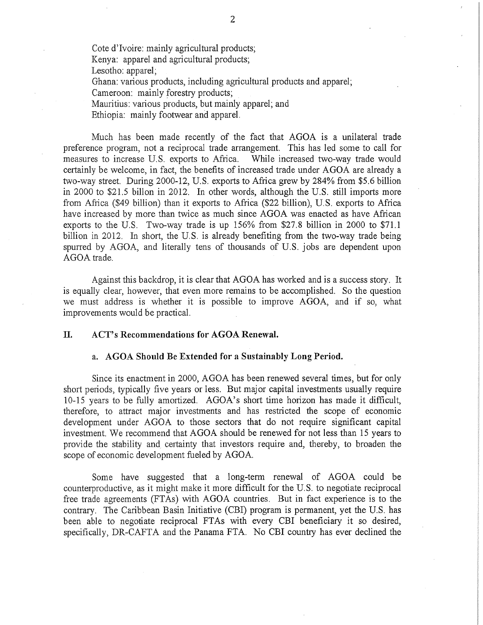Cote d'lvoire: mainly agricultural products; Kenya: apparel and agricultural products; Lesotho: apparel; Ghana: various products, including agricultural products and apparel; Cameroon: mainly forestry products; Mauritius: various products, but mainly apparel; and Ethiopia: mainly footwear and apparel.

Much has been made recently of the fact that AGOA is a unilateral trade preference program, not a reciprocal trade arrangement. This has led some to call for measures to increase U.S. exports to Africa. While increased two-way trade would certainly be welcome, in fact, the benefits of increased trade under AGOA are already a two-way street. During 2000-12, U.S. exports to Africa grew by 284% from \$5.6 billion in 2000 to \$21.5 billon in 2012. In other words, although the U.S. still imports more from Africa (\$49 billion) than it exports to Africa (\$22 billion), U.S. exports to Africa have increased by more than twice as much since AGOA was enacted as have African exports to the U.S. Two-way trade is up 156% from \$27.8 billion in 2000 to \$71.1 billion in 2012. In short, the U.S. is already benefiting from the two-way trade being spurred by AGOA, and literally tens of thousands of U.S. jobs are dependent upon AGOA trade.

Against this backdrop, it is clear that AGOA has worked and is a success story. It is equally clear, however, that even more remains to be accomplished. So the question we must address is whether it is possible to improve AGOA, and if so, what improvements would be practical.

### **II. ACT's Recommendations for AGOA Renewal.**

## a. **AGOA Should Be Extended for a Sustainably Long Period.**

Since its enactment in 2000, AGOA has been renewed several times, but for only short periods, typically five years or less. But major capital investments usually require 10-15 years to be fully amortized. AGOA's short time horizon has made it difficult, therefore, to attract major investments and has restricted the scope of economic development under AGOA to those sectors that do not require significant capital investment. We recommend that AGOA should be renewed for not less than 15 years to provide the stability and certainty that investors require and, thereby, to broaden the scope of economic development fueled by AGOA.

Some have suggested that a long-term renewal of AGOA could be counterproductive, as it might make it more difficult for the U.S. to negotiate reciprocal free trade agreements (FTAs) with AGOA countries. But in fact experience is to the contrary. The Caribbean Basin Initiative (CBI) program is permanent, yet the U.S. has been able to negotiate reciprocal FTAs with every CBI beneficiary it so desired, specifically, DR-CAFTA and the Panama FTA. No CBI country has ever declined the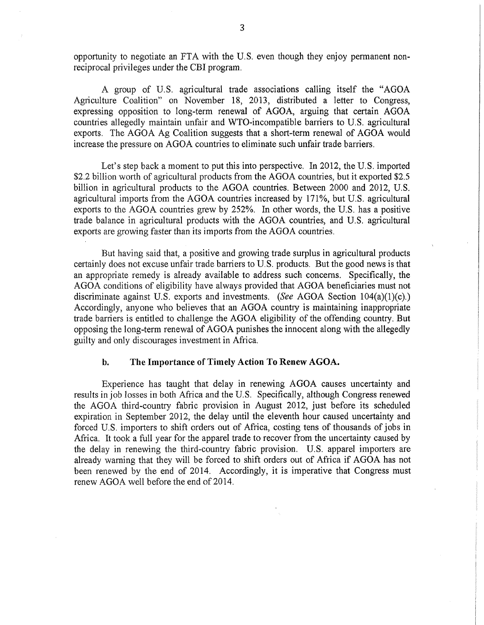opportunity to negotiate an FTA with the U.S. even though they enjoy permanent nonreciprocal privileges under the CBI program.

A group of U.S. agricultural trade associations calling itself the "AGOA Agriculture Coalition" on November 18, 2013, distributed a letter to Congress, expressing opposition to long-term renewal of AGOA, arguing that certain AGOA countries allegedly maintain unfair and WTO-incompatible barriers to U.S. agricultural exports. The AGOA Ag Coalition suggests that a short-term renewal of AGOA would increase the pressure on AGOA countries to eliminate such unfair trade barriers.

Let's step back a moment to put this into perspective. In 2012, the U.S. imported \$2.2 billion worth of agricultural products from the AGOA countries, but it exported \$2.5 billion in agricultural products to the AGOA countries. Between 2000 and 2012, U.S. agricultural imports from the AGOA countries increased by 171%, but U.S. agricultural exports to the AGOA countries grew by 252%. In other words, the U.S. has a positive trade balance in agricultural products with the AGOA countries, and U.S. agricultural exports are growing faster than its imports from the AGOA countries.

But having said that, a positive and growing trade surplus in agricultural products certainly does not excuse unfair trade barriers to U.S. products. But the good news is that an appropriate remedy is already available to address such concerns. Specifically, the AGOA conditions of eligibility have always provided that AGOA beneficiaries must not discriminate against U.S. exports and investments. *{See* AGOA Section 104(a)(1)(c).) Accordingly, anyone who believes that an AGOA country is maintaining inappropriate trade barriers is entitled to challenge the AGOA eligibility of the offending country. But opposing the long-term renewal of AGOA punishes the innocent along with the allegedly guilty and only discourages investment in Africa.

## **b. The Importance of Timely Action To Renew AGOA.**

Experience has taught that delay in renewing AGOA causes uncertainty and results in job losses in both Africa and the U.S. Specifically, although Congress renewed the AGOA third-country fabric provision in August 2012, just before its scheduled expiration in September 2012, the delay until the eleventh hour caused uncertainty and forced U.S. importers to shift orders out of Africa, costing tens of thousands of jobs in Africa. It took a full year for the apparel trade to recover from the uncertainty caused by the delay in renewing the third-country fabric provision. U.S. apparel importers are already warning that they will be forced to shift orders out of Africa if AGOA has not been renewed by the end of 2014. Accordingly, it is imperative that Congress must renew AGOA well before the end of 2014.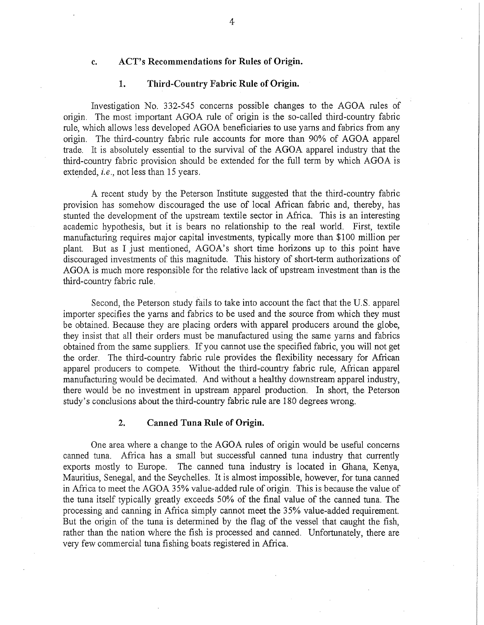## **c. ACT's Recommendations for Rules of Origin.**

## **1. Third-Country Fabric Rule of Origin.**

Investigation No. 332-545 concerns possible changes to the AGOA rules of origin. The most important AGOA rule of origin is the so-called third-country fabric rule, which allows less developed AGOA beneficiaries to use yarns and fabrics from any origin. The third-country fabric rule accounts for more than 90% of AGOA apparel trade. It is absolutely essential to the survival of the AGOA apparel industry that the third-country fabric provision should be extended for the full term by which AGOA is extended, *i.e.,* not less than 15 years.

A recent study by the Peterson Institute suggested that the third-country fabric provision has somehow discouraged the use of local African fabric and, thereby, has stunted the development of the upstream textile sector in Africa. This is an interesting academic hypothesis, but it is bears no relationship to the real world. First, textile manufacturing requires major capital investments, typically more than \$100 million per plant. But as I just mentioned, AGOA's short time horizons up to this point have discouraged investments of this magnitude. This history of short-term authorizations of AGOA is much more responsible for the relative lack of upstream investment than is the third-country fabric rule.

Second, the Peterson study fails to take into account the fact that the U.S. apparel importer specifies the yarns and fabrics to be used and the source from which they must be obtained. Because they are placing orders with apparel producers around the globe, they insist that all their orders must be manufactured using the same yarns and fabrics obtained from the same suppliers. If you cannot use the specified fabric, you will not get the order. The third-country fabric rule provides the flexibility necessary for African apparel producers to compete. Without the third-country fabric rule, African apparel manufacturing would be decimated. And without a healthy downstream apparel industry, there would be no investment in upstream apparel production. In short, the Peterson study's conclusions about the third-country fabric rule are 180 degrees wrong.

## **2. Canned Tuna Rule of Origin.**

One area where a change to the AGOA rules of origin would be useful concerns canned tuna. Africa has a small but successful canned tuna industry that currently exports mostly to Europe. The canned tuna industry is located in Ghana, Kenya, Mauritius, Senegal, and the Seychelles. It is almost impossible, however, for tuna canned in Africa to meet the AGOA 35% value-added rule of origin. This is because the value of the tuna itself typically greatly exceeds 50% of the final value of the canned tuna. The processing and canning in Africa simply cannot meet the 35% value-added requirement. But the origin of the tuna is determined by the flag of the vessel that caught the fish, rather than the nation where the fish is processed and canned. Unfortunately, there are very few commercial tuna fishing boats registered in Africa.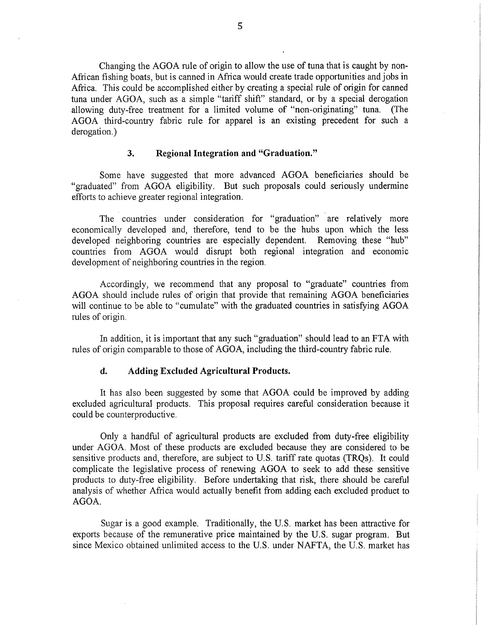Changing the AGOA mle of origin to allow the use of tuna that is caught by non-African fishing boats, but is canned in Africa would create trade opportunities and jobs in Africa. This could be accomplished either by creating a special rule of origin for canned tuna under AGOA, such as a simple "tariff shift" standard, or by a special derogation allowing duty-free treatment for a limited volume of "non-originating" tuna. (The AGOA third-country fabric rule for apparel is an existing precedent for such a derogation.)

### **3. Regional Integration and "Graduation."**

Some have suggested that more advanced AGOA beneficiaries should be "graduated" from AGOA eligibility. But such proposals could seriously undermine efforts to achieve greater regional integration.

The countries under consideration for "graduation" are relatively more economically developed and, therefore, tend to be the hubs upon which the less developed neighboring countries are especially dependent. Removing these "hub" countries from AGOA would disrupt both regional integration and economic development of neighboring countries in the region.

Accordingly, we recommend that any proposal to "graduate" countries from AGOA should include rules of origin that provide that remaining AGOA beneficiaries will continue to be able to "cumulate" with the graduated countries in satisfying AGOA rules of origin.

In addition, it is important that any such "graduation" should lead to an FTA with rules of origin comparable to those of AGOA, including the third-country fabric rule.

## **d. Adding Excluded Agricultural Products.**

It has also been suggested by some that AGOA could be improved by adding excluded agricultural products. This proposal requires careful consideration because it could be counterproductive.

Only a handful of agricultural products are excluded from duty-free eligibility under AGOA. Most of these products are excluded because they are considered to be sensitive products and, therefore, are subject to U.S. tariff rate quotas (TRQs). It could complicate the legislative process of renewing AGOA to seek to add these sensitive products to duty-free eligibility. Before undertaking that risk, there should be careful analysis of whether Africa would actually benefit from adding each excluded product to AGOA.

Sugar is a good example. Traditionally, the U.S. market has been attractive for exports because of the remunerative price maintained by the U.S. sugar program. But since Mexico obtained unlimited access to the U.S. under NAFTA, the U.S. market has